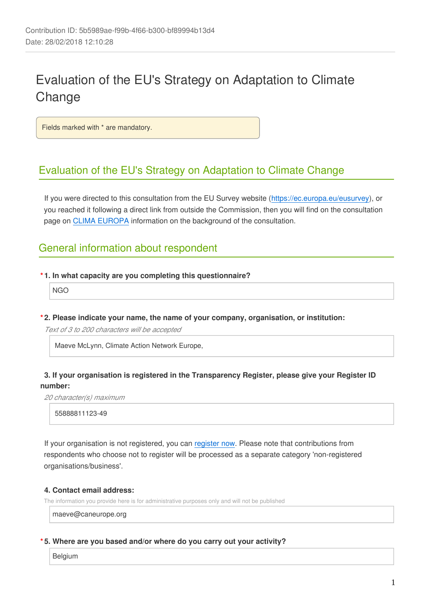# Evaluation of the EU's Strategy on Adaptation to Climate **Change**

Fields marked with \* are mandatory.

## Evaluation of the EU's Strategy on Adaptation to Climate Change

If you were directed to this consultation from the EU Survey website (<https://ec.europa.eu/eusurvey>), or you reached it following a direct link from outside the Commission, then you will find on the consultation page on [CLIMA EUROPA](https://ec.europa.eu/clima/consultations/evaluation-eus-strategy-adaptation-climate-change_en) information on the background of the consultation.

## General information about respondent

#### **\* 1. In what capacity are you completing this questionnaire?**

NGO

#### **\* 2. Please indicate your name, the name of your company, organisation, or institution:**

*Text of 3 to 200 characters will be accepted*

Maeve McLynn, Climate Action Network Europe,

#### **3. If your organisation is registered in the Transparency Register, please give your Register ID number:**

*20 character(s) maximum*

55888811123-49

If your organisation is not registered, you can [register now](http://ec.europa.eu/transparencyregister/public/ri/registering.do?locale=en#en). Please note that contributions from respondents who choose not to register will be processed as a separate category 'non-registered organisations/business'.

#### **4. Contact email address:**

The information you provide here is for administrative purposes only and will not be published

maeve@caneurope.org

#### **\* 5. Where are you based and/or where do you carry out your activity?**

Belgium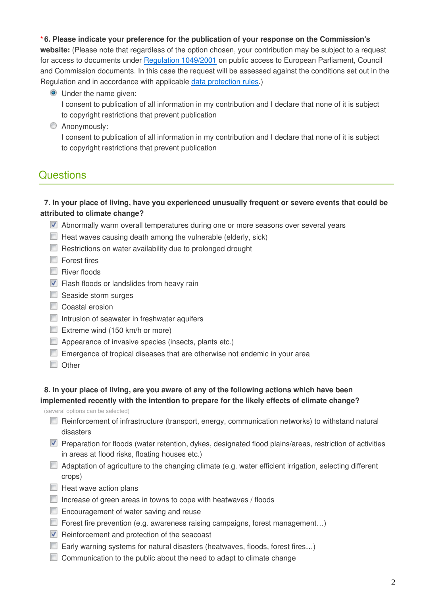#### **\* 6. Please indicate your preference for the publication of your response on the Commission's**

**website:** (Please note that regardless of the option chosen, your contribution may be subject to a request for access to documents under [Regulation 1049/2001](http://eur-lex.europa.eu/legal-content/EN/TXT/?uri=CELEX:32001R1049) on public access to European Parliament, Council and Commission documents. In this case the request will be assessed against the conditions set out in the Regulation and in accordance with applicable [data protection rules.](http://ec.europa.eu/justice/data-protection/))

**O** Under the name given:

I consent to publication of all information in my contribution and I declare that none of it is subject to copyright restrictions that prevent publication

**C** Anonymously:

I consent to publication of all information in my contribution and I declare that none of it is subject to copyright restrictions that prevent publication

### **Questions**

#### **7. In your place of living, have you experienced unusually frequent or severe events that could be attributed to climate change?**

- Abnormally warm overall temperatures during one or more seasons over several years
- $\Box$  Heat waves causing death among the vulnerable (elderly, sick)
- Restrictions on water availability due to prolonged drought
- **Forest fires**
- River floods
- Flash floods or landslides from heavy rain
- $\Box$  Seaside storm surges
- Coastal erosion
- $\Box$  Intrusion of seawater in freshwater aquifers
- Extreme wind  $(150 \text{ km/h or more})$
- Appearance of invasive species (insects, plants etc.)
- Emergence of tropical diseases that are otherwise not endemic in your area
- **Other**

#### **8. In your place of living, are you aware of any of the following actions which have been implemented recently with the intention to prepare for the likely effects of climate change?**

(several options can be selected)

- Reinforcement of infrastructure (transport, energy, communication networks) to withstand natural disasters
- **Preparation for floods (water retention, dykes, designated flood plains/areas, restriction of activities** in areas at flood risks, floating houses etc.)
- Adaptation of agriculture to the changing climate (e.g. water efficient irrigation, selecting different crops)
- $\Box$  Heat wave action plans
- $\Box$  Increase of green areas in towns to cope with heatwaves / floods
- **E** Encouragement of water saving and reuse
- Forest fire prevention (e.g. awareness raising campaigns, forest management...)
- $\nabla$  Reinforcement and protection of the seacoast
- Early warning systems for natural disasters (heatwaves, floods, forest fires…)
- Communication to the public about the need to adapt to climate change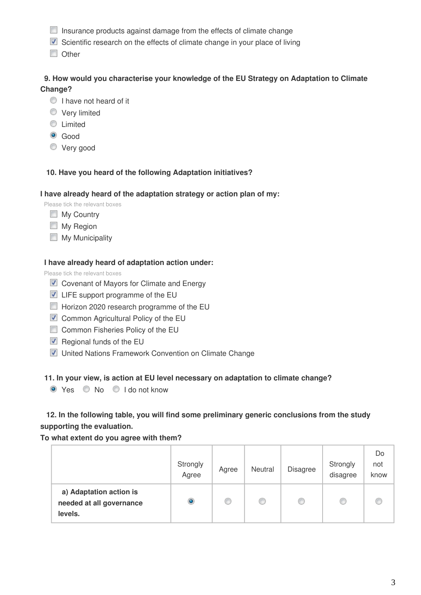- $\Box$  Insurance products against damage from the effects of climate change
- Scientific research on the effects of climate change in your place of living
- **Other**

#### **9. How would you characterise your knowledge of the EU Strategy on Adaptation to Climate Change?**

- **I** have not heard of it
- **Very limited**
- **C** Limited
- Cood
- Very good

#### **10. Have you heard of the following Adaptation initiatives?**

#### **I have already heard of the adaptation strategy or action plan of my:**

Please tick the relevant boxes

- **My Country**
- **My Region**
- $\Box$  My Municipality

#### **I have already heard of adaptation action under:**

Please tick the relevant boxes

- Covenant of Mayors for Climate and Energy
- **LIFE** support programme of the EU
- **Horizon 2020 research programme of the EU**
- Common Agricultural Policy of the EU
- Common Fisheries Policy of the EU
- $\blacksquare$  Regional funds of the EU
- **United Nations Framework Convention on Climate Change**

#### **11. In your view, is action at EU level necessary on adaptation to climate change?**

● Yes ● No ● I do not know

#### **12. In the following table, you will find some preliminary generic conclusions from the study supporting the evaluation.**

#### **To what extent do you agree with them?**

|                                                                | Strongly<br>Agree | Agree | Neutral | <b>Disagree</b> | Strongly<br>disagree | Do<br>not<br>know |
|----------------------------------------------------------------|-------------------|-------|---------|-----------------|----------------------|-------------------|
| a) Adaptation action is<br>needed at all governance<br>levels. | $\bullet$         |       | w       | œ               | O                    | Œ                 |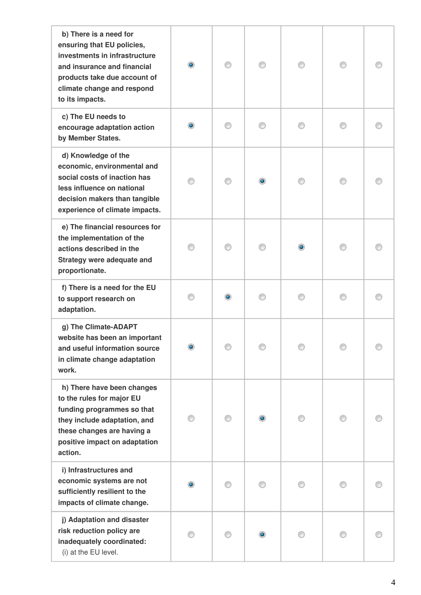| b) There is a need for<br>ensuring that EU policies,<br>investments in infrastructure<br>and insurance and financial<br>products take due account of<br>climate change and respond<br>to its impacts. | $\bullet$      | ⊙         | ⊙         | ⊙         |   |  |
|-------------------------------------------------------------------------------------------------------------------------------------------------------------------------------------------------------|----------------|-----------|-----------|-----------|---|--|
| c) The EU needs to<br>encourage adaptation action<br>by Member States.                                                                                                                                | $\bullet$      | ⊙         | ⋒         | ∩         | ∩ |  |
| d) Knowledge of the<br>economic, environmental and<br>social costs of inaction has<br>less influence on national<br>decision makers than tangible<br>experience of climate impacts.                   | ∩              | ⊙         | $\bullet$ | ⊙         | ⊙ |  |
| e) The financial resources for<br>the implementation of the<br>actions described in the<br>Strategy were adequate and<br>proportionate.                                                               |                | ∩         | ⊙         | $\bullet$ | n |  |
| f) There is a need for the EU<br>to support research on<br>adaptation.                                                                                                                                | ∩              | $\bullet$ | ∩         | ⊙         | ∩ |  |
| g) The Climate-ADAPT<br>website has been an important<br>and useful information source<br>in climate change adaptation<br>work.                                                                       | $\circledcirc$ |           |           |           |   |  |
| h) There have been changes<br>to the rules for major EU<br>funding programmes so that<br>they include adaptation, and<br>these changes are having a<br>positive impact on adaptation<br>action.       |                | ⋒         | $\bullet$ | ∩         |   |  |
| i) Infrastructures and<br>economic systems are not<br>sufficiently resilient to the<br>impacts of climate change.                                                                                     | $\bullet$      |           |           |           |   |  |
| j) Adaptation and disaster<br>risk reduction policy are<br>inadequately coordinated:<br>(i) at the EU level.                                                                                          |                |           |           |           |   |  |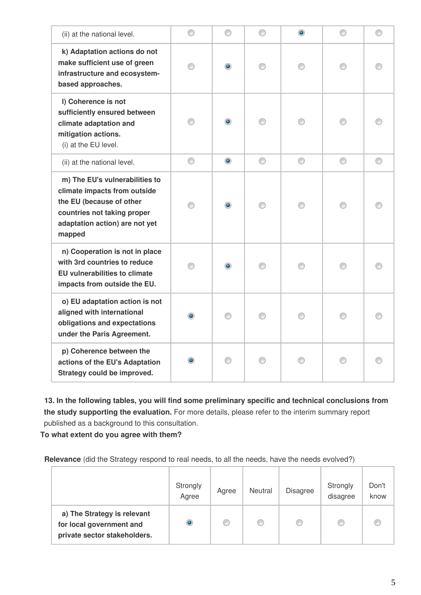| (ii) at the national level.                                                                                                                                           | ⊙         | ⊙         | ⊙ | $\circledcirc$ | ⊙ |   |
|-----------------------------------------------------------------------------------------------------------------------------------------------------------------------|-----------|-----------|---|----------------|---|---|
| k) Adaptation actions do not<br>make sufficient use of green<br>infrastructure and ecosystem-<br>based approaches.                                                    |           | $\bullet$ |   | ⊙              | ⊙ |   |
| I) Coherence is not<br>sufficiently ensured between<br>climate adaptation and<br>mitigation actions.<br>(i) at the EU level.                                          |           | ۰         |   |                |   |   |
| (ii) at the national level.                                                                                                                                           | 0         | $\bullet$ | 0 | 0              | 0 | ⊙ |
| m) The EU's vulnerabilities to<br>climate impacts from outside<br>the EU (because of other<br>countries not taking proper<br>adaptation action) are not yet<br>mapped | ∩         | $\bullet$ |   | ⊙              | ⊙ |   |
| n) Cooperation is not in place<br>with 3rd countries to reduce<br>EU vulnerabilities to climate<br>impacts from outside the EU.                                       | ∩         | ۰         | ⋒ | ∩              | ∩ |   |
| o) EU adaptation action is not<br>aligned with international<br>obligations and expectations<br>under the Paris Agreement.                                            | ۰         | ∩         | ⊙ | ⊙              | ⊙ |   |
| p) Coherence between the<br>actions of the EU's Adaptation<br>Strategy could be improved.                                                                             | $\bullet$ |           |   |                | ⊙ |   |

**13. In the following tables, you will find some preliminary specific and technical conclusions from the study supporting the evaluation.** For more details, please refer to the interim summary report published as a background to this consultation.

**To what extent do you agree with them?**

**Relevance** (did the Strategy respond to real needs, to all the needs, have the needs evolved?)

|                                                                                         | Strongly<br>Agree | Agree | Neutral | <b>Disagree</b> | Strongly<br>disagree | Don't<br>know |
|-----------------------------------------------------------------------------------------|-------------------|-------|---------|-----------------|----------------------|---------------|
| a) The Strategy is relevant<br>for local government and<br>private sector stakeholders. | $_{\circ}$        | œ     |         | C               | O                    |               |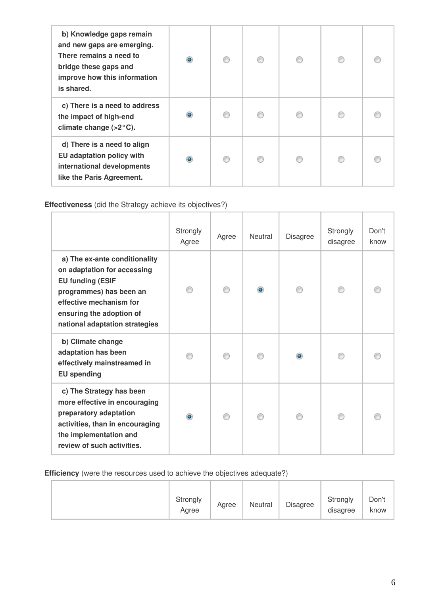| b) Knowledge gaps remain<br>and new gaps are emerging.<br>There remains a need to<br>bridge these gaps and<br>improve how this information<br>is shared. | ۰         |  |  |  |
|----------------------------------------------------------------------------------------------------------------------------------------------------------|-----------|--|--|--|
| c) There is a need to address<br>the impact of high-end<br>climate change $(>2°C)$ .                                                                     | $\bullet$ |  |  |  |
| d) There is a need to align<br><b>EU</b> adaptation policy with<br>international developments<br>like the Paris Agreement.                               | ۰         |  |  |  |

**Effectiveness** (did the Strategy achieve its objectives?)

|                                                                                                                                                                                                             | Strongly<br>Agree | Agree | Neutral | <b>Disagree</b> | Strongly<br>disagree | Don't<br>know |
|-------------------------------------------------------------------------------------------------------------------------------------------------------------------------------------------------------------|-------------------|-------|---------|-----------------|----------------------|---------------|
| a) The ex-ante conditionality<br>on adaptation for accessing<br><b>EU funding (ESIF</b><br>programmes) has been an<br>effective mechanism for<br>ensuring the adoption of<br>national adaptation strategies |                   |       |         |                 |                      |               |
| b) Climate change<br>adaptation has been<br>effectively mainstreamed in<br><b>EU spending</b>                                                                                                               |                   |       |         | $\bullet$       |                      |               |
| c) The Strategy has been<br>more effective in encouraging<br>preparatory adaptation<br>activities, than in encouraging<br>the implementation and<br>review of such activities.                              | $\bullet$         |       |         |                 |                      |               |

#### **Efficiency** (were the resources used to achieve the objectives adequate?)

| Strongly<br>Agree | Agree | Neutral | Disagree | Strongly<br>disagree | Don't<br>know |
|-------------------|-------|---------|----------|----------------------|---------------|
|                   |       |         |          |                      |               |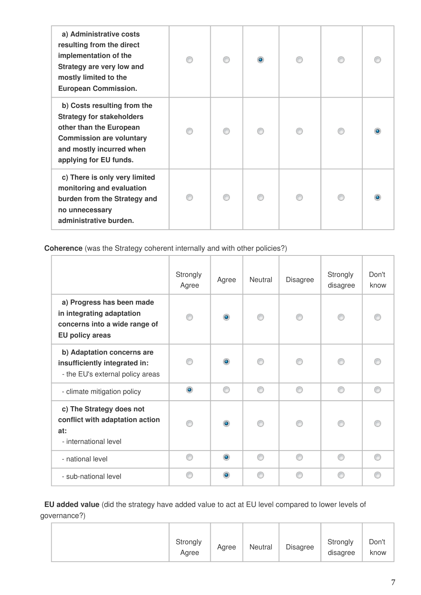| a) Administrative costs<br>resulting from the direct<br>implementation of the<br>Strategy are very low and<br>mostly limited to the<br><b>European Commission.</b>                  |  | $\bullet$ |   |  |
|-------------------------------------------------------------------------------------------------------------------------------------------------------------------------------------|--|-----------|---|--|
| b) Costs resulting from the<br><b>Strategy for stakeholders</b><br>other than the European<br><b>Commission are voluntary</b><br>and mostly incurred when<br>applying for EU funds. |  |           | ⋒ |  |
| c) There is only very limited<br>monitoring and evaluation<br>burden from the Strategy and<br>no unnecessary<br>administrative burden.                                              |  |           |   |  |

**Coherence** (was the Strategy coherent internally and with other policies?)

|                                                                                                            | Strongly<br>Agree | Agree     | Neutral | Disagree | Strongly<br>disagree | Don't<br>know |
|------------------------------------------------------------------------------------------------------------|-------------------|-----------|---------|----------|----------------------|---------------|
| a) Progress has been made<br>in integrating adaptation<br>concerns into a wide range of<br>EU policy areas |                   | $\bullet$ | ⋒       |          |                      |               |
| b) Adaptation concerns are<br>insufficiently integrated in:<br>- the EU's external policy areas            |                   | $\bullet$ |         |          |                      |               |
| - climate mitigation policy                                                                                | $\bullet$         | ∩         | ∩       | ∩        |                      |               |
| c) The Strategy does not<br>conflict with adaptation action<br>at:<br>- international level                |                   | $\bullet$ |         |          |                      |               |
| - national level                                                                                           |                   | $\bullet$ | ⋒       | ⋒        |                      |               |
| - sub-national level                                                                                       | ∩                 | $\bullet$ | ⋒       | ⋒        |                      |               |

**EU added value** (did the strategy have added value to act at EU level compared to lower levels of governance?)

|--|